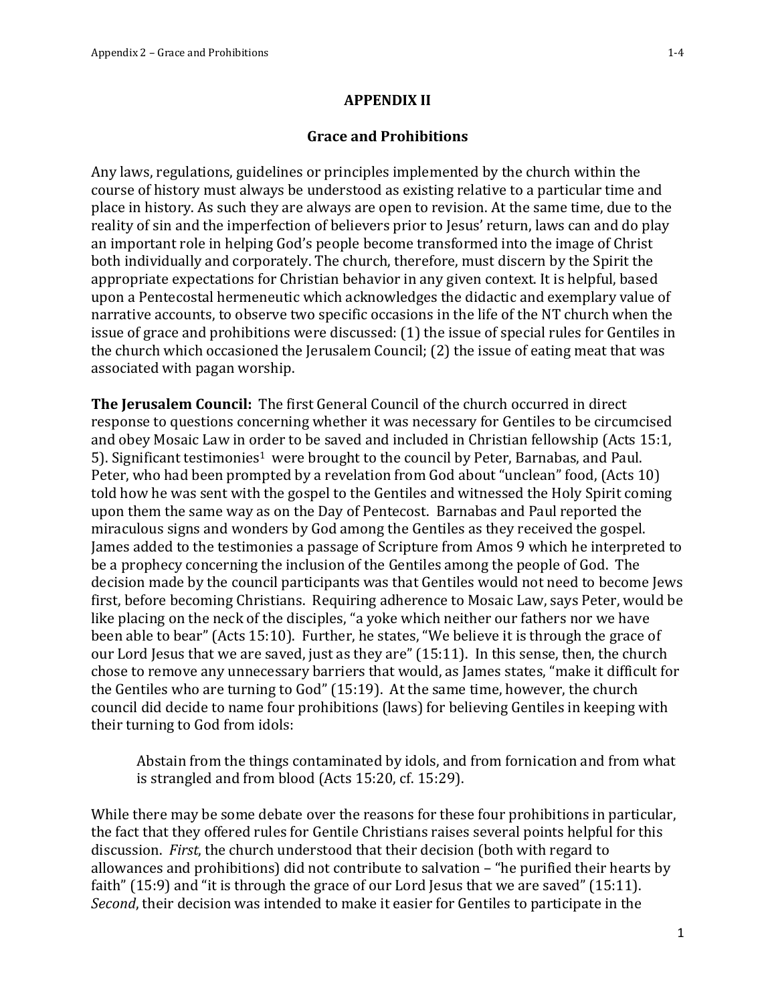## **APPENDIX II**

## **Grace and Prohibitions**

Any laws, regulations, guidelines or principles implemented by the church within the course of history must always be understood as existing relative to a particular time and place in history. As such they are always are open to revision. At the same time, due to the reality of sin and the imperfection of believers prior to Jesus' return, laws can and do play an important role in helping God's people become transformed into the image of Christ both individually and corporately. The church, therefore, must discern by the Spirit the appropriate expectations for Christian behavior in any given context. It is helpful, based upon a Pentecostal hermeneutic which acknowledges the didactic and exemplary value of narrative accounts, to observe two specific occasions in the life of the NT church when the issue of grace and prohibitions were discussed: (1) the issue of special rules for Gentiles in the church which occasioned the Jerusalem Council; (2) the issue of eating meat that was associated with pagan worship.

**The Jerusalem Council:** The first General Council of the church occurred in direct response to questions concerning whether it was necessary for Gentiles to be circumcised and obey Mosaic Law in order to be saved and included in Christian fellowship (Acts 15:1, 5). Significant testimonies<sup>1</sup> were brought to the council by Peter, Barnabas, and Paul. Peter, who had been prompted by a revelation from God about "unclean" food, (Acts 10) told how he was sent with the gospel to the Gentiles and witnessed the Holy Spirit coming upon them the same way as on the Day of Pentecost. Barnabas and Paul reported the miraculous signs and wonders by God among the Gentiles as they received the gospel. James added to the testimonies a passage of Scripture from Amos 9 which he interpreted to be a prophecy concerning the inclusion of the Gentiles among the people of God. The decision made by the council participants was that Gentiles would not need to become Jews first, before becoming Christians. Requiring adherence to Mosaic Law, says Peter, would be like placing on the neck of the disciples, "a yoke which neither our fathers nor we have been able to bear" (Acts 15:10). Further, he states, "We believe it is through the grace of our Lord Jesus that we are saved, just as they are" (15:11). In this sense, then, the church chose to remove any unnecessary barriers that would, as James states, "make it difficult for the Gentiles who are turning to God" (15:19). At the same time, however, the church council did decide to name four prohibitions (laws) for believing Gentiles in keeping with their turning to God from idols:

Abstain from the things contaminated by idols, and from fornication and from what is strangled and from blood (Acts 15:20, cf. 15:29).

While there may be some debate over the reasons for these four prohibitions in particular, the fact that they offered rules for Gentile Christians raises several points helpful for this discussion. *First*, the church understood that their decision (both with regard to allowances and prohibitions) did not contribute to salvation – "he purified their hearts by faith" (15:9) and "it is through the grace of our Lord Jesus that we are saved" (15:11). *Second*, their decision was intended to make it easier for Gentiles to participate in the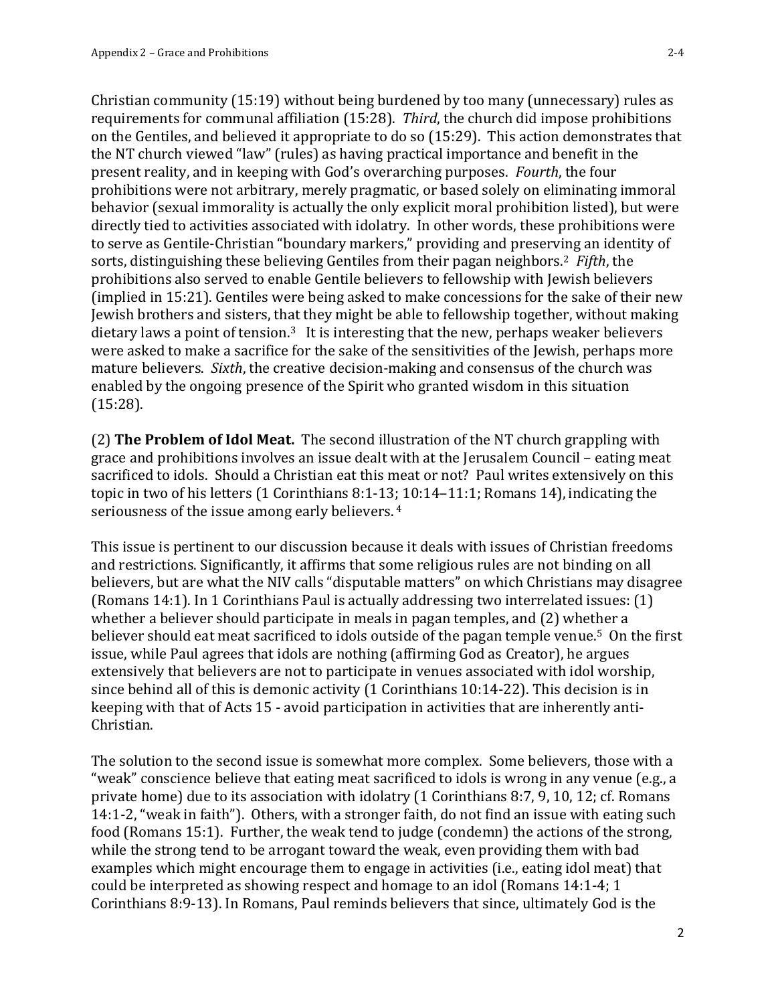Christian community (15:19) without being burdened by too many (unnecessary) rules as requirements for communal affiliation (15:28). *Third*, the church did impose prohibitions on the Gentiles, and believed it appropriate to do so (15:29). This action demonstrates that the NT church viewed "law" (rules) as having practical importance and benefit in the present reality, and in keeping with God's overarching purposes. *Fourth*, the four prohibitions were not arbitrary, merely pragmatic, or based solely on eliminating immoral behavior (sexual immorality is actually the only explicit moral prohibition listed), but were directly tied to activities associated with idolatry. In other words, these prohibitions were to serve as Gentile-Christian "boundary markers," providing and preserving an identity of sorts, distinguishing these believing Gentiles from their pagan neighbors.<sup>2</sup> *Fifth*, the prohibitions also served to enable Gentile believers to fellowship with Jewish believers (implied in 15:21). Gentiles were being asked to make concessions for the sake of their new Jewish brothers and sisters, that they might be able to fellowship together, without making dietary laws a point of tension.<sup>3</sup> It is interesting that the new, perhaps weaker believers were asked to make a sacrifice for the sake of the sensitivities of the Jewish, perhaps more mature believers. *Sixth*, the creative decision-making and consensus of the church was enabled by the ongoing presence of the Spirit who granted wisdom in this situation (15:28).

(2) **The Problem of Idol Meat.** The second illustration of the NT church grappling with grace and prohibitions involves an issue dealt with at the Jerusalem Council – eating meat sacrificed to idols. Should a Christian eat this meat or not? Paul writes extensively on this topic in two of his letters (1 Corinthians 8:1-13; 10:14–11:1; Romans 14), indicating the seriousness of the issue among early believers. <sup>4</sup>

This issue is pertinent to our discussion because it deals with issues of Christian freedoms and restrictions. Significantly, it affirms that some religious rules are not binding on all believers, but are what the NIV calls "disputable matters" on which Christians may disagree (Romans 14:1). In 1 Corinthians Paul is actually addressing two interrelated issues: (1) whether a believer should participate in meals in pagan temples, and (2) whether a believer should eat meat sacrificed to idols outside of the pagan temple venue.<sup>5</sup> On the first issue, while Paul agrees that idols are nothing (affirming God as Creator), he argues extensively that believers are not to participate in venues associated with idol worship, since behind all of this is demonic activity (1 Corinthians 10:14-22). This decision is in keeping with that of Acts 15 - avoid participation in activities that are inherently anti-Christian.

The solution to the second issue is somewhat more complex. Some believers, those with a "weak" conscience believe that eating meat sacrificed to idols is wrong in any venue (e.g., a private home) due to its association with idolatry (1 Corinthians 8:7, 9, 10, 12; cf. Romans 14:1-2, "weak in faith"). Others, with a stronger faith, do not find an issue with eating such food (Romans 15:1). Further, the weak tend to judge (condemn) the actions of the strong, while the strong tend to be arrogant toward the weak, even providing them with bad examples which might encourage them to engage in activities (i.e., eating idol meat) that could be interpreted as showing respect and homage to an idol (Romans 14:1-4; 1 Corinthians 8:9-13). In Romans, Paul reminds believers that since, ultimately God is the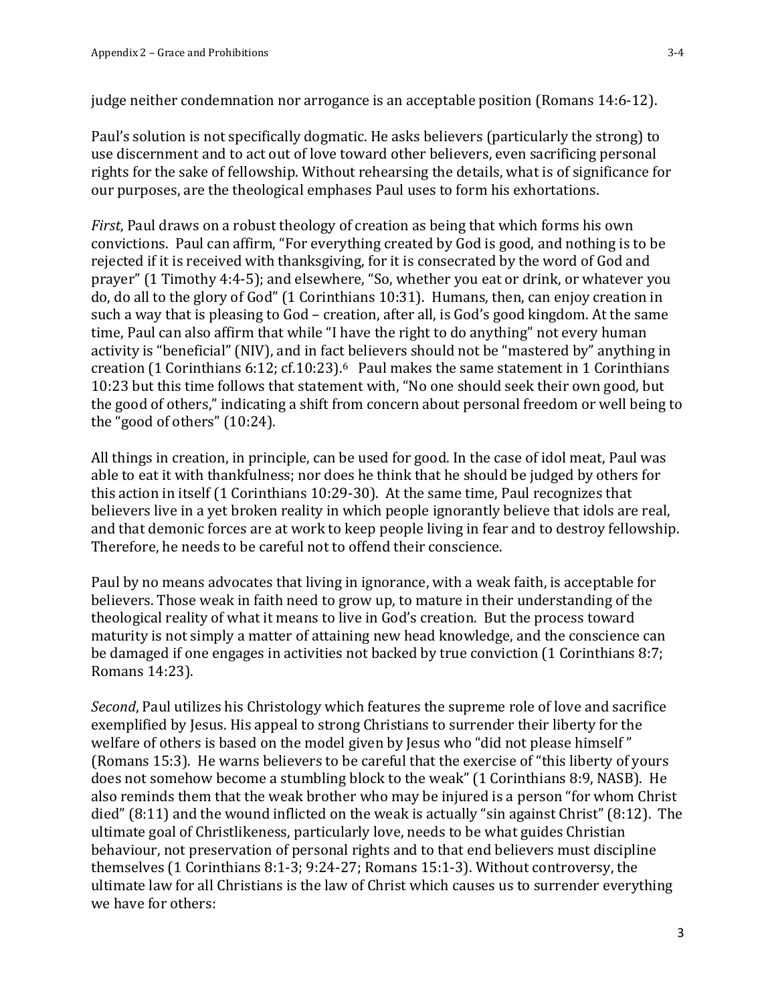judge neither condemnation nor arrogance is an acceptable position (Romans 14:6-12).

Paul's solution is not specifically dogmatic. He asks believers (particularly the strong) to use discernment and to act out of love toward other believers, even sacrificing personal rights for the sake of fellowship. Without rehearsing the details, what is of significance for our purposes, are the theological emphases Paul uses to form his exhortations.

*First*, Paul draws on a robust theology of creation as being that which forms his own convictions. Paul can affirm, "For everything created by God is good, and nothing is to be rejected if it is received with thanksgiving, for it is consecrated by the word of God and prayer" (1 Timothy 4:4-5); and elsewhere, "So, whether you eat or drink, or whatever you do, do all to the glory of God" (1 Corinthians 10:31). Humans, then, can enjoy creation in such a way that is pleasing to God – creation, after all, is God's good kingdom. At the same time, Paul can also affirm that while "I have the right to do anything" not every human activity is "beneficial" (NIV), and in fact believers should not be "mastered by" anything in creation (1 Corinthians 6:12; cf.10:23).6 Paul makes the same statement in 1 Corinthians 10:23 but this time follows that statement with, "No one should seek their own good, but the good of others," indicating a shift from concern about personal freedom or well being to the "good of others" (10:24).

All things in creation, in principle, can be used for good. In the case of idol meat, Paul was able to eat it with thankfulness; nor does he think that he should be judged by others for this action in itself (1 Corinthians 10:29-30). At the same time, Paul recognizes that believers live in a yet broken reality in which people ignorantly believe that idols are real, and that demonic forces are at work to keep people living in fear and to destroy fellowship. Therefore, he needs to be careful not to offend their conscience.

Paul by no means advocates that living in ignorance, with a weak faith, is acceptable for believers. Those weak in faith need to grow up, to mature in their understanding of the theological reality of what it means to live in God's creation. But the process toward maturity is not simply a matter of attaining new head knowledge, and the conscience can be damaged if one engages in activities not backed by true conviction (1 Corinthians 8:7; Romans 14:23).

*Second*, Paul utilizes his Christology which features the supreme role of love and sacrifice exemplified by Jesus. His appeal to strong Christians to surrender their liberty for the welfare of others is based on the model given by Jesus who "did not please himself " (Romans 15:3). He warns believers to be careful that the exercise of "this liberty of yours does not somehow become a stumbling block to the weak" (1 Corinthians 8:9, NASB). He also reminds them that the weak brother who may be injured is a person "for whom Christ died" (8:11) and the wound inflicted on the weak is actually "sin against Christ" (8:12). The ultimate goal of Christlikeness, particularly love, needs to be what guides Christian behaviour, not preservation of personal rights and to that end believers must discipline themselves (1 Corinthians 8:1-3; 9:24-27; Romans 15:1-3). Without controversy, the ultimate law for all Christians is the law of Christ which causes us to surrender everything we have for others: